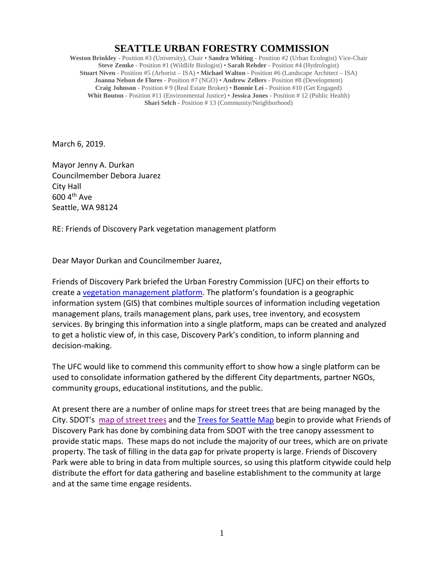## **SEATTLE URBAN FORESTRY COMMISSION**

**Weston Brinkley** - Position #3 (University), Chair • **Sandra Whiting** - Position #2 (Urban Ecologist) Vice-Chair **Steve Zemke** - Position #1 (Wildlife Biologist) • **Sarah Rehder** - Position #4 (Hydrologist) **Stuart Niven** - Position #5 (Arborist – ISA) • **Michael Walton** - Position #6 (Landscape Architect – ISA) **Joanna Nelson de Flores** - Position #7 (NGO) • **Andrew Zellers** - Position #8 (Development) **Craig Johnson** - Position # 9 (Real Estate Broker) • **Bonnie Lei** - Position #10 (Get Engaged) **Whit Bouton** - Position #11 (Environmental Justice) • **Jessica Jones** - Position # 12 (Public Health) **Shari Selch** - Position # 13 (Community/Neighborhood)

March 6, 2019.

Mayor Jenny A. Durkan Councilmember Debora Juarez City Hall 600 4th Ave Seattle, WA 98124

RE: Friends of Discovery Park vegetation management platform

Dear Mayor Durkan and Councilmember Juarez,

Friends of Discovery Park briefed the Urban Forestry Commission (UFC) on their efforts to create a [vegetation management platform.](https://www.arcgis.com/home/item.html?id=83ae71076aed41428367ab69a599a14f#overview) The platform's foundation is a geographic information system (GIS) that combines multiple sources of information including vegetation management plans, trails management plans, park uses, tree inventory, and ecosystem services. By bringing this information into a single platform, maps can be created and analyzed to get a holistic view of, in this case, Discovery Park's condition, to inform planning and decision-making.

The UFC would like to commend this community effort to show how a single platform can be used to consolidate information gathered by the different City departments, partner NGOs, community groups, educational institutions, and the public.

At present there are a number of online maps for street trees that are being managed by the City. SDOT's [map of street trees](http://www.seattle.gov/transportation/projects-and-programs/programs/trees-and-landscaping-program/seattle-tree-inventory-map) and the [Trees for Seattle Map](http://seattlecitygis.maps.arcgis.com/apps/MapSeries/index.html?appid=a7072ffa326c4ef39a0f031961ebace6) begin to provide what Friends of Discovery Park has done by combining data from SDOT with the tree canopy assessment to provide static maps. These maps do not include the majority of our trees, which are on private property. The task of filling in the data gap for private property is large. Friends of Discovery Park were able to bring in data from multiple sources, so using this platform citywide could help distribute the effort for data gathering and baseline establishment to the community at large and at the same time engage residents.